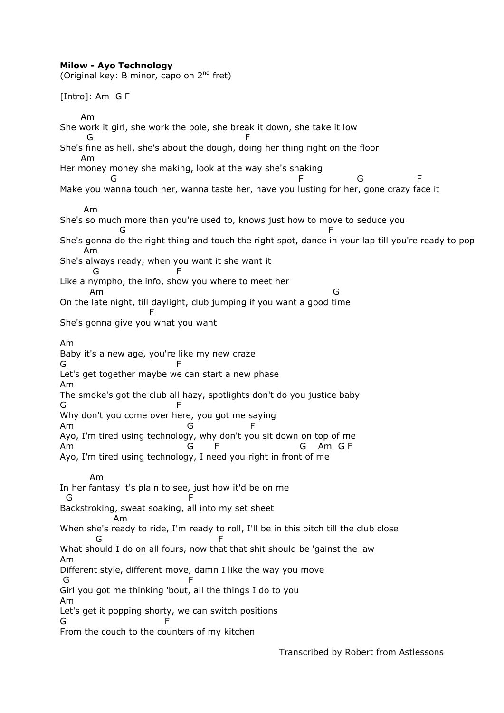## **Milow - Ayo Technology**

(Original key: B minor, capo on  $2^{nd}$  fret) [Intro]: Am G F Am She work it girl, she work the pole, she break it down, she take it low **G** F She's fine as hell, she's about the dough, doing her thing right on the floor Am Her money money she making, look at the way she's shaking G F G F Make you wanna touch her, wanna taste her, have you lusting for her, gone crazy face it Am She's so much more than you're used to, knows just how to move to seduce you and the contract of the contract of the contract of the contract of the contract of the contract of the contract of the contract of the contract of the contract of the contract of the contract of the contract of the contra She's gonna do the right thing and touch the right spot, dance in your lap till you're ready to pop Am She's always ready, when you want it she want it **G** F Like a nympho, the info, show you where to meet her Am G On the late night, till daylight, club jumping if you want a good time Fig. 1999 and 1999 and 1999 and 1999 and 1999 She's gonna give you what you want Am Baby it's a new age, you're like my new craze G F Let's get together maybe we can start a new phase Am The smoke's got the club all hazy, spotlights don't do you justice baby G F Why don't you come over here, you got me saying Am G F Ayo, I'm tired using technology, why don't you sit down on top of me Am G F G Am G F Ayo, I'm tired using technology, I need you right in front of me Am In her fantasy it's plain to see, just how it'd be on me G F Backstroking, sweat soaking, all into my set sheet Am When she's ready to ride, I'm ready to roll, I'll be in this bitch till the club close G F What should I do on all fours, now that that shit should be 'gainst the law Am Different style, different move, damn I like the way you move G F Girl you got me thinking 'bout, all the things I do to you Am Let's get it popping shorty, we can switch positions G F From the couch to the counters of my kitchen